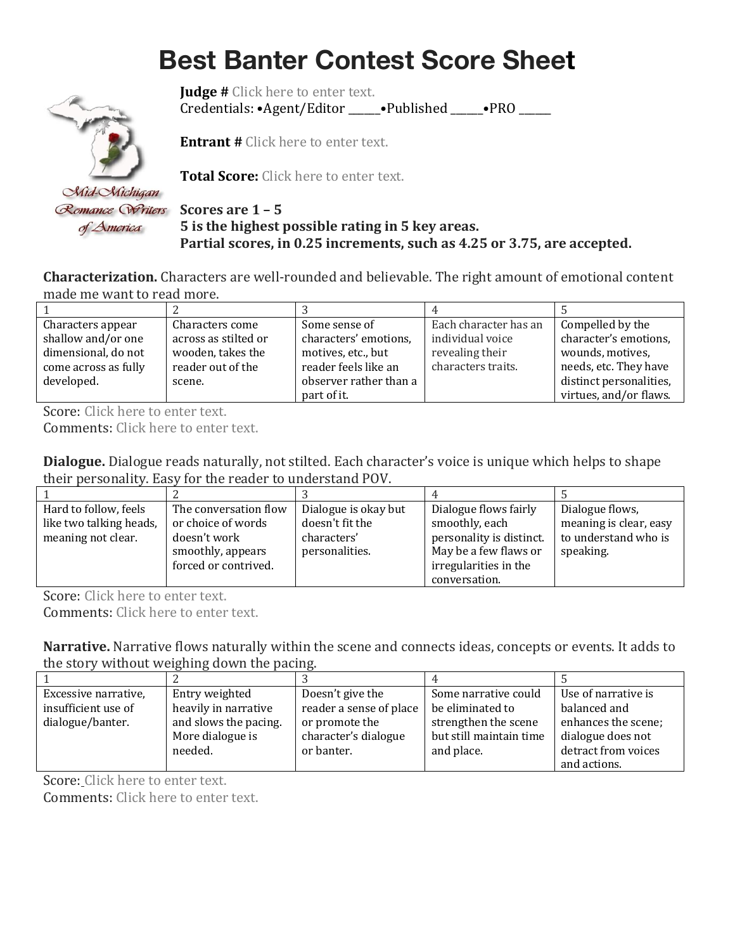## **Best Banter Contest Score Sheet**



**Judge #** Click here to enter text. Credentials: •Agent/Editor \_\_\_\_\_\_•Published \_\_\_\_\_\_•PRO \_\_\_\_\_\_

**Entrant #** Click here to enter text.

**Total Score:** Click here to enter text.

### **5 is the highest possible rating in 5 key areas. Partial scores, in 0.25 increments, such as 4.25 or 3.75, are accepted.**

**Characterization.** Characters are well-rounded and believable. The right amount of emotional content made me want to read more.

| Characters appear    | Characters come      | Some sense of          | Each character has an | Compelled by the        |
|----------------------|----------------------|------------------------|-----------------------|-------------------------|
| shallow and/or one   | across as stilted or | characters' emotions,  | individual voice      | character's emotions,   |
| dimensional, do not  | wooden, takes the    | motives, etc., but     | revealing their       | wounds, motives,        |
| come across as fully | reader out of the    | reader feels like an   | characters traits.    | needs, etc. They have   |
| developed.           | scene.               | observer rather than a |                       | distinct personalities, |
|                      |                      | part of it.            |                       | virtues, and/or flaws.  |

Score: Click here to enter text.

Comments: Click here to enter text.

**Dialogue.** Dialogue reads naturally, not stilted. Each character's voice is unique which helps to shape their personality. Easy for the reader to understand POV.

| Hard to follow, feels   | The conversation flow | Dialogue is okay but | Dialogue flows fairly    | Dialogue flows,        |
|-------------------------|-----------------------|----------------------|--------------------------|------------------------|
| like two talking heads, | or choice of words    | doesn't fit the      | smoothly, each           | meaning is clear, easy |
| meaning not clear.      | doesn't work          | characters'          | personality is distinct. | to understand who is   |
|                         | smoothly, appears     | personalities.       | May be a few flaws or    | speaking.              |
|                         | forced or contrived.  |                      | irregularities in the    |                        |
|                         |                       |                      | conversation.            |                        |

Score: Click here to enter text.

Comments: Click here to enter text.

**Narrative.** Narrative flows naturally within the scene and connects ideas, concepts or events. It adds to the story without weighing down the pacing.

| Excessive narrative, | Entry weighted        | Doesn't give the        | Some narrative could    | Use of narrative is |
|----------------------|-----------------------|-------------------------|-------------------------|---------------------|
| insufficient use of  | heavily in narrative  | reader a sense of place | be eliminated to        | balanced and        |
| dialogue/banter.     | and slows the pacing. | or promote the          | strengthen the scene    | enhances the scene; |
|                      | More dialogue is      | character's dialogue    | but still maintain time | dialogue does not   |
|                      | needed.               | or banter.              | and place.              | detract from voices |
|                      |                       |                         |                         | and actions.        |

Score: Click here to enter text.

Comments: Click here to enter text.